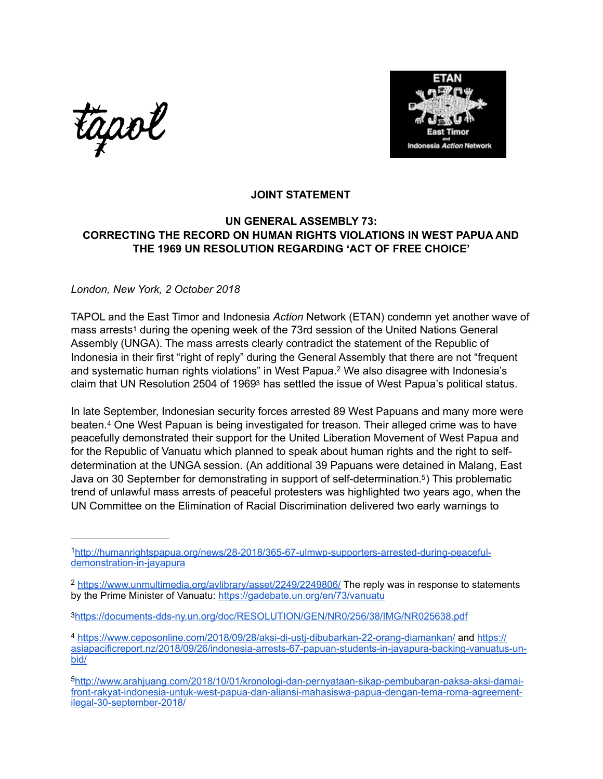tapol



## <span id="page-0-9"></span><span id="page-0-6"></span>**JOINT STATEMENT**

## **UN GENERAL ASSEMBLY 73: CORRECTING THE RECORD ON HUMAN RIGHTS VIOLATIONS IN WEST PAPUA AND THE 1969 UN RESOLUTION REGARDING 'ACT OF FREE CHOICE'**

## *London, New York, 2 October 2018*

<span id="page-0-5"></span>TAPOL and the East Timor and Indonesia *Action* Network (ETAN) condemn yet another wave of mass arrests<sup>[1](#page-0-0)</sup> during the opening week of the 73rd session of the United Nations General Assembly (UNGA). The mass arrests clearly contradict the statement of the Republic of Indonesia in their first "right of reply" during the General Assembly that there are not "frequent and systematic human rights violations" in West Papua[.](#page-0-1)<sup>[2](#page-0-1)</sup> We also disagree with Indonesia's claim that UN Resolution 2504 of 196[93](#page-0-2) has settled the issue of West Papua's political status.

<span id="page-0-8"></span><span id="page-0-7"></span>In late September, Indonesian security forces arrested 89 West Papuans and many more were beaten.<sup>4</sup>One West Papuan is being investigated for treason. Their alleged crime was to have peacefully demonstrated their support for the United Liberation Movement of West Papua and for the Republic of Vanuatu which planned to speak about human rights and the right to selfdetermination at the UNGA session. (An additional 39 Papuans were detained in Malang, East Java on 30 September for demonstrating in support of self-determination.<sup>5</sup>[\)](#page-0-4) This problematic trend of unlawful mass arrests of peaceful protesters was highlighted two years ago, when the UN Committee on the Elimination of Racial Discrimination delivered two early warnings to

<span id="page-0-1"></span><https://www.unmultimedia.org/avlibrary/asset/2249/2249806/> The reply was in response to statements [2](#page-0-6) by the Prime Minister of Vanuatu: <https://gadebate.un.org/en/73/vanuatu>

<span id="page-0-0"></span>[http://humanrightspapua.org/news/28-2018/365-67-ulmwp-supporters-arrested-during-peaceful-](http://humanrightspapua.org/news/28-2018/365-67-ulmwp-supporters-arrested-during-peaceful-demonstration-in-jayapura) [1](#page-0-5) [demonstration-in-jayapura](http://humanrightspapua.org/news/28-2018/365-67-ulmwp-supporters-arrested-during-peaceful-demonstration-in-jayapura)

<span id="page-0-2"></span>[<sup>3</sup>](#page-0-7)<https://documents-dds-ny.un.org/doc/RESOLUTION/GEN/NR0/256/38/IMG/NR025638.pdf>

<span id="page-0-3"></span><https://www.ceposonline.com/2018/09/28/aksi-di-ustj-dibubarkan-22-orang-diamankan/> and [https://](https://asiapacificreport.nz/2018/09/26/indonesia-arrests-67-papuan-students-in-jayapura-backing-vanuatus-un-bid/) [4](#page-0-8) [asiapacificreport.nz/2018/09/26/indonesia-arrests-67-papuan-students-in-jayapura-backing-vanuatus-un](https://asiapacificreport.nz/2018/09/26/indonesia-arrests-67-papuan-students-in-jayapura-backing-vanuatus-un-bid/)[bid/](https://asiapacificreport.nz/2018/09/26/indonesia-arrests-67-papuan-students-in-jayapura-backing-vanuatus-un-bid/)

<span id="page-0-4"></span>[http://www.arahjuang.com/2018/10/01/kronologi-dan-pernyataan-sikap-pembubaran-paksa-aksi-damai-](http://www.arahjuang.com/2018/10/01/kronologi-dan-pernyataan-sikap-pembubaran-paksa-aksi-damai-front-rakyat-indonesia-untuk-west-papua-dan-aliansi-mahasiswa-papua-dengan-tema-roma-agreement-ilegal-30-september-2018/) [5](#page-0-9) [front-rakyat-indonesia-untuk-west-papua-dan-aliansi-mahasiswa-papua-dengan-tema-roma-agreement](http://www.arahjuang.com/2018/10/01/kronologi-dan-pernyataan-sikap-pembubaran-paksa-aksi-damai-front-rakyat-indonesia-untuk-west-papua-dan-aliansi-mahasiswa-papua-dengan-tema-roma-agreement-ilegal-30-september-2018/)[ilegal-30-september-2018/](http://www.arahjuang.com/2018/10/01/kronologi-dan-pernyataan-sikap-pembubaran-paksa-aksi-damai-front-rakyat-indonesia-untuk-west-papua-dan-aliansi-mahasiswa-papua-dengan-tema-roma-agreement-ilegal-30-september-2018/)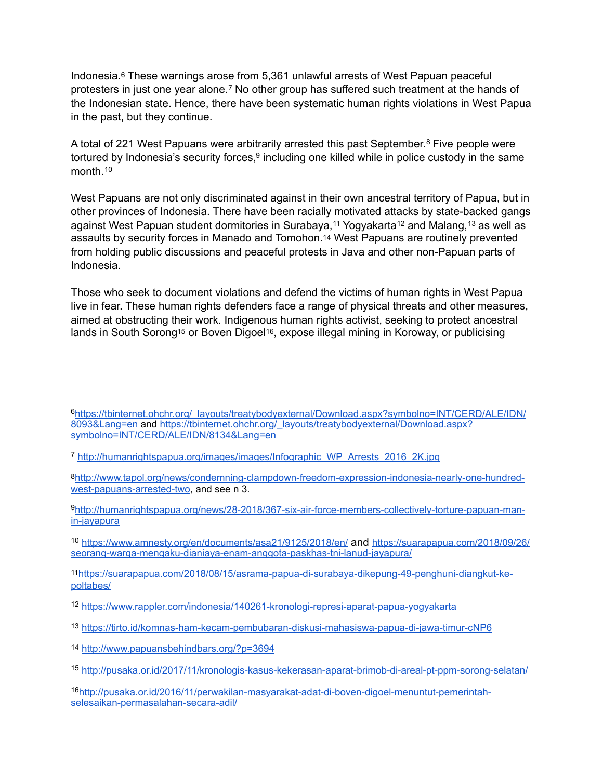<span id="page-1-12"></span><span id="page-1-11"></span>Indonesia.[6](#page-1-0) These warnings arose from 5,361 unlawful arrests of West Papuan peaceful protestersin just one year alone.<sup>[7](#page-1-1)</sup> No other group has suffered such treatment at the hands of the Indonesian state. Hence, there have been systematic human rights violations in West Papua in the past, but they continue.

<span id="page-1-14"></span><span id="page-1-13"></span>Atotal of 221 West Papuans were arbitrarily arrested this past September.<sup>[8](#page-1-2)</sup> Five people were tortured by Indonesia's security forces[,](#page-1-3) $9$  including one killed while in police custody in the same month<sup>10</sup>

<span id="page-1-19"></span><span id="page-1-18"></span><span id="page-1-17"></span><span id="page-1-16"></span><span id="page-1-15"></span>West Papuans are not only discriminated against in their own ancestral territory of Papua, but in other provinces of Indonesia. There have been racially motivated attacks by state-backed gangs againstWest Papuan student dormitories in Surabaya,<sup>[11](#page-1-5)</sup> Yogyakarta<sup>12</sup> and Malang,<sup>13</sup> as well as assaults by security forces in Manado and Tomohon[.14](#page-1-8) West Papuans are routinely prevented from holding public discussions and peaceful protests in Java and other non-Papuan parts of Indonesia.

<span id="page-1-21"></span><span id="page-1-20"></span>Those who seek to document violations and defend the victims of human rights in West Papua live in fear. These human rights defenders face a range of physical threats and other measures, aimed at obstructing their work. Indigenous human rights activist, seeking to protect ancestral lands in South Sorong<sup>15</sup> or Boven Digoel<sup>16</sup>, expose illegal mining in Koroway, or publicising

<span id="page-1-0"></span>[https://tbinternet.ohchr.org/\\_layouts/treatybodyexternal/Download.aspx?symbolno=INT/CERD/ALE/IDN/](https://tbinternet.ohchr.org/_layouts/treatybodyexternal/Download.aspx?symbolno=INT/CERD/ALE/IDN/8093&Lang=en) [6](#page-1-11) [8093&Lang=en and](https://tbinternet.ohchr.org/_layouts/treatybodyexternal/Download.aspx?symbolno=INT/CERD/ALE/IDN/8093&Lang=en) [https://tbinternet.ohchr.org/\\_layouts/treatybodyexternal/Download.aspx?](https://tbinternet.ohchr.org/_layouts/treatybodyexternal/Download.aspx?symbolno=INT/CERD/ALE/IDN/8134&Lang=en) [symbolno=INT/CERD/ALE/IDN/8134&Lang=en](https://tbinternet.ohchr.org/_layouts/treatybodyexternal/Download.aspx?symbolno=INT/CERD/ALE/IDN/8134&Lang=en)

<span id="page-1-1"></span>[http://humanrightspapua.org/images/images/Infographic\\_WP\\_Arrests\\_2016\\_2K.jpg](http://humanrightspapua.org/images/images/Infographic_WP_Arrests_2016_2K.jpg) [7](#page-1-12)

<span id="page-1-2"></span>[<sup>8</sup>](#page-1-13)[http://www.tapol.org/news/condemning-clampdown-freedom-expression-indonesia-nearly-one-hundred](http://www.tapol.org/news/condemning-clampdown-freedom-expression-indonesia-nearly-one-hundred-west-papuans-arrested-two)[west-papuans-arrested-two](http://www.tapol.org/news/condemning-clampdown-freedom-expression-indonesia-nearly-one-hundred-west-papuans-arrested-two), and see n 3.

<span id="page-1-3"></span><sup>&</sup>lt;sup>9</sup>[http://humanrightspapua.org/news/28-2018/367-six-air-force-members-collectively-torture-papuan-man](http://humanrightspapua.org/news/28-2018/367-six-air-force-members-collectively-torture-papuan-man-in-jayapura) [in-jayapura](http://humanrightspapua.org/news/28-2018/367-six-air-force-members-collectively-torture-papuan-man-in-jayapura)

<span id="page-1-4"></span><https://www.amnesty.org/en/documents/asa21/9125/2018/en/> [and https://suarapapua.com/2018/09/26/](https://suarapapua.com/2018/09/26/seorang-warga-mengaku-dianiaya-enam-anggota-paskhas-tni-lanud-jayapura/) [10](#page-1-15) [seorang-warga-mengaku-dianiaya-enam-anggota-paskhas-tni-lanud-jayapura/](https://suarapapua.com/2018/09/26/seorang-warga-mengaku-dianiaya-enam-anggota-paskhas-tni-lanud-jayapura/)

<span id="page-1-5"></span>[<sup>11</sup>](#page-1-16)[https://suarapapua.com/2018/08/15/asrama-papua-di-surabaya-dikepung-49-penghuni-diangkut-ke](https://suarapapua.com/2018/08/15/asrama-papua-di-surabaya-dikepung-49-penghuni-diangkut-ke-poltabes/)[poltabes/](https://suarapapua.com/2018/08/15/asrama-papua-di-surabaya-dikepung-49-penghuni-diangkut-ke-poltabes/)

<span id="page-1-6"></span><sup>12</sup> <https://www.rappler.com/indonesia/140261-kronologi-represi-aparat-papua-yogyakarta>

<span id="page-1-7"></span><sup>13</sup> <https://tirto.id/komnas-ham-kecam-pembubaran-diskusi-mahasiswa-papua-di-jawa-timur-cNP6>

<span id="page-1-8"></span>[<sup>14</sup>](#page-1-19) <http://www.papuansbehindbars.org/?p=3694>

<span id="page-1-9"></span><http://pusaka.or.id/2017/11/kronologis-kasus-kekerasan-aparat-brimob-di-areal-pt-ppm-sorong-selatan/> [15](#page-1-20)

<span id="page-1-10"></span>[http://pusaka.or.id/2016/11/perwakilan-masyarakat-adat-di-boven-digoel-menuntut-pemerintah-](http://pusaka.or.id/2016/11/perwakilan-masyarakat-adat-di-boven-digoel-menuntut-pemerintah-selesaikan-permasalahan-secara-adil/) [16](#page-1-21) [selesaikan-permasalahan-secara-adil/](http://pusaka.or.id/2016/11/perwakilan-masyarakat-adat-di-boven-digoel-menuntut-pemerintah-selesaikan-permasalahan-secara-adil/)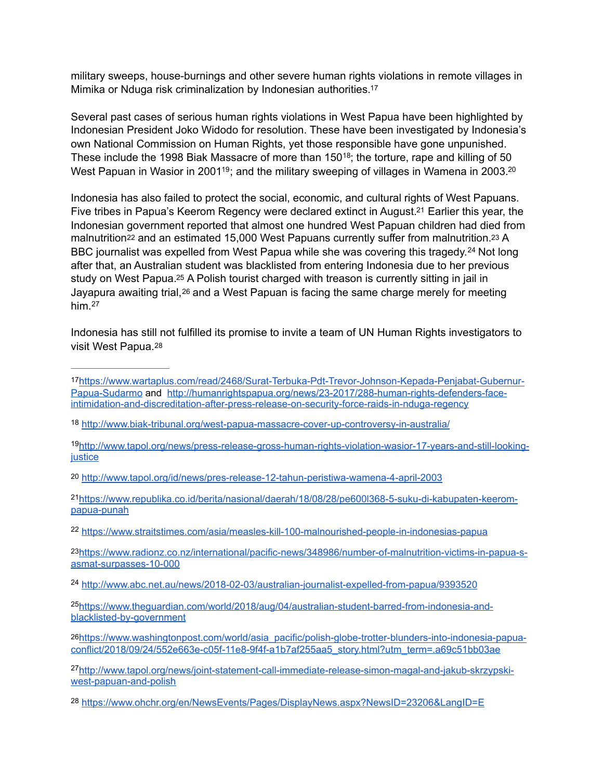<span id="page-2-12"></span>military sweeps, house-burnings and other severe human rights violations in remote villages in Mimika or Nduga risk criminalization by Indonesian authorities[.17](#page-2-0)

<span id="page-2-13"></span>Several past cases of serious human rights violations in West Papua have been highlighted by Indonesian President Joko Widodo for resolution. These have been investigated by Indonesia's own National Commission on Human Rights, yet those responsible have gone unpunished. These include the 1998 Biak Massacre of more than 150<sup>18</sup>[;](#page-2-1) the torture, rape and killing of 50 West Papuan in Wasior in 2001<sup>[19](#page-2-2)</sup>; and the military sweeping of villages in Wamena in [20](#page-2-3)03.<sup>20</sup>

<span id="page-2-19"></span><span id="page-2-18"></span><span id="page-2-17"></span><span id="page-2-16"></span><span id="page-2-15"></span><span id="page-2-14"></span>Indonesia has also failed to protect the social, economic, and cultural rights of West Papuans. Five tribes in Papua's Keerom Regency were declared extinct in August.<sup>[21](#page-2-4)</sup> Earlier this year, the Indonesian government reported that almost one hundred West Papuan children had died from malnutrition<sup>[22](#page-2-5)</sup> and an estimated 15,000 West Papuans currently suffer from malnutrition.<sup>23</sup> A BBC journalist was expelled from West Papua while she was covering this tragedy.<sup>[24](#page-2-7)</sup> Not long after that, an Australian student was blacklisted from entering Indonesia due to her previous study on West Papua[.25](#page-2-8) A Polish tourist charged with treason is currently sitting in jail in Jayapura awaiting trial,<sup>26</sup> and a West Papuan is facing the same charge merely for meeting him. [27](#page-2-10)

<span id="page-2-23"></span><span id="page-2-22"></span><span id="page-2-21"></span><span id="page-2-20"></span>Indonesia has still not fulfilled its promise to invite a team of UN Human Rights investigators to visit West Papua.[28](#page-2-11)

<span id="page-2-0"></span>[<sup>17</sup>](#page-2-12)[https://www.wartaplus.com/read/2468/Surat-Terbuka-Pdt-Trevor-Johnson-Kepada-Penjabat-Gubernur-](https://www.wartaplus.com/read/2468/Surat-Terbuka-Pdt-Trevor-Johnson-Kepada-Penjabat-Gubernur-Papua-Sudarmo)[Papua-Sudarmo and](https://www.wartaplus.com/read/2468/Surat-Terbuka-Pdt-Trevor-Johnson-Kepada-Penjabat-Gubernur-Papua-Sudarmo) [http://humanrightspapua.org/news/23-2017/288-human-rights-defenders-face](http://humanrightspapua.org/news/23-2017/288-human-rights-defenders-face-intimidation-and-discreditation-after-press-release-on-security-force-raids-in-nduga-regency)[intimidation-and-discreditation-after-press-release-on-security-force-raids-in-nduga-regency](http://humanrightspapua.org/news/23-2017/288-human-rights-defenders-face-intimidation-and-discreditation-after-press-release-on-security-force-raids-in-nduga-regency)

<span id="page-2-1"></span><sup>18</sup> <http://www.biak-tribunal.org/west-papua-massacre-cover-up-controversy-in-australia/>

<span id="page-2-2"></span>[http://www.tapol.org/news/press-release-gross-human-rights-violation-wasior-17-years-and-still-looking-](http://www.tapol.org/news/press-release-gross-human-rights-violation-wasior-17-years-and-still-looking-justice) [19](#page-2-14) [justice](http://www.tapol.org/news/press-release-gross-human-rights-violation-wasior-17-years-and-still-looking-justice)

<span id="page-2-3"></span>[<sup>20</sup>](#page-2-15) <http://www.tapol.org/id/news/pres-release-12-tahun-peristiwa-wamena-4-april-2003>

<span id="page-2-4"></span>[https://www.republika.co.id/berita/nasional/daerah/18/08/28/pe600l368-5-suku-di-kabupaten-keerom-](https://www.republika.co.id/berita/nasional/daerah/18/08/28/pe600l368-5-suku-di-kabupaten-keerom-papua-punah) [21](#page-2-16) [papua-punah](https://www.republika.co.id/berita/nasional/daerah/18/08/28/pe600l368-5-suku-di-kabupaten-keerom-papua-punah)

<span id="page-2-5"></span><sup>&</sup>lt;sup>22</sup> <https://www.straitstimes.com/asia/measles-kill-100-malnourished-people-in-indonesias-papua>

<span id="page-2-6"></span>[<sup>23</sup>](#page-2-18)[https://www.radionz.co.nz/international/pacific-news/348986/number-of-malnutrition-victims-in-papua-s](https://www.radionz.co.nz/international/pacific-news/348986/number-of-malnutrition-victims-in-papua-s-asmat-surpasses-10-000)[asmat-surpasses-10-000](https://www.radionz.co.nz/international/pacific-news/348986/number-of-malnutrition-victims-in-papua-s-asmat-surpasses-10-000)

<span id="page-2-7"></span><sup>&</sup>lt;sup>24</sup> <http://www.abc.net.au/news/2018-02-03/australian-journalist-expelled-from-papua/9393520>

<span id="page-2-8"></span><sup>&</sup>lt;sup>25</sup>[https://www.theguardian.com/world/2018/aug/04/australian-student-barred-from-indonesia-and](https://www.theguardian.com/world/2018/aug/04/australian-student-barred-from-indonesia-and-blacklisted-by-government) [blacklisted-by-government](https://www.theguardian.com/world/2018/aug/04/australian-student-barred-from-indonesia-and-blacklisted-by-government)

<span id="page-2-9"></span>[<sup>26</sup>](#page-2-21)[https://www.washingtonpost.com/world/asia\\_pacific/polish-globe-trotter-blunders-into-indonesia-papua](https://www.washingtonpost.com/world/asia_pacific/polish-globe-trotter-blunders-into-indonesia-papua-conflict/2018/09/24/552e663e-c05f-11e8-9f4f-a1b7af255aa5_story.html?utm_term=.a69c51bb03ae)[conflict/2018/09/24/552e663e-c05f-11e8-9f4f-a1b7af255aa5\\_story.html?utm\\_term=.a69c51bb03ae](https://www.washingtonpost.com/world/asia_pacific/polish-globe-trotter-blunders-into-indonesia-papua-conflict/2018/09/24/552e663e-c05f-11e8-9f4f-a1b7af255aa5_story.html?utm_term=.a69c51bb03ae)

<span id="page-2-10"></span>[http://www.tapol.org/news/joint-statement-call-immediate-release-simon-magal-and-jakub-skrzypski-](http://www.tapol.org/news/joint-statement-call-immediate-release-simon-magal-and-jakub-skrzypski-west-papuan-and-polish) [27](#page-2-22) [west-papuan-and-polish](http://www.tapol.org/news/joint-statement-call-immediate-release-simon-magal-and-jakub-skrzypski-west-papuan-and-polish)

<span id="page-2-11"></span>[<sup>28</sup>](#page-2-23) <https://www.ohchr.org/en/NewsEvents/Pages/DisplayNews.aspx?NewsID=23206&LangID=E>